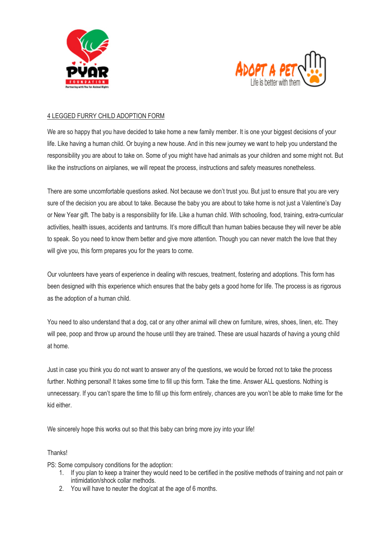



## 4 LEGGED FURRY CHILD ADOPTION FORM

We are so happy that you have decided to take home a new family member. It is one your biggest decisions of your life. Like having a human child. Or buying a new house. And in this new journey we want to help you understand the responsibility you are about to take on. Some of you might have had animals as your children and some might not. But like the instructions on airplanes, we will repeat the process, instructions and safety measures nonetheless.

There are some uncomfortable questions asked. Not because we don't trust you. But just to ensure that you are very sure of the decision you are about to take. Because the baby you are about to take home is not just a Valentine's Day or New Year gift. The baby is a responsibility for life. Like a human child. With schooling, food, training, extra-curricular activities, health issues, accidents and tantrums. It's more difficult than human babies because they will never be able to speak. So you need to know them better and give more attention. Though you can never match the love that they will give you, this form prepares you for the years to come.

Our volunteers have years of experience in dealing with rescues, treatment, fostering and adoptions. This form has been designed with this experience which ensures that the baby gets a good home for life. The process is as rigorous as the adoption of a human child.

You need to also understand that a dog, cat or any other animal will chew on furniture, wires, shoes, linen, etc. They will pee, poop and throw up around the house until they are trained. These are usual hazards of having a young child at home.

Just in case you think you do not want to answer any of the questions, we would be forced not to take the process further. Nothing personal! It takes some time to fill up this form. Take the time. Answer ALL questions. Nothing is unnecessary. If you can't spare the time to fill up this form entirely, chances are you won't be able to make time for the kid either.

We sincerely hope this works out so that this baby can bring more joy into your life!

## Thanks!

PS: Some compulsory conditions for the adoption:

- 1. If you plan to keep a trainer they would need to be certified in the positive methods of training and not pain or intimidation/shock collar methods.
- 2. You will have to neuter the dog/cat at the age of 6 months.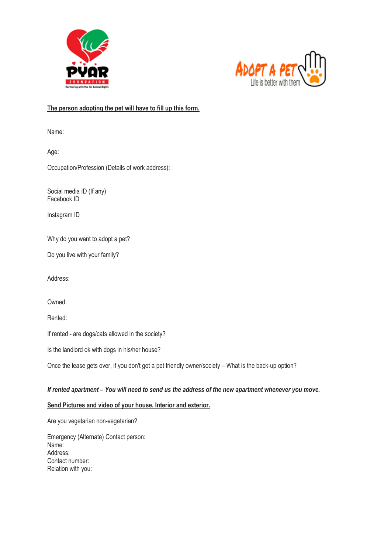



# **The person adopting the pet will have to fill up this form.**

Name:

Age:

Occupation/Profession (Details of work address):

Social media ID (If any) Facebook ID

Instagram ID

Why do you want to adopt a pet?

Do you live with your family?

Address:

Owned:

Rented:

If rented - are dogs/cats allowed in the society?

Is the landlord ok with dogs in his/her house?

Once the lease gets over, if you don't get a pet friendly owner/society – What is the back-up option?

## *If rented apartment – You will need to send us the address of the new apartment whenever you move.*

## **Send Pictures and video of your house. Interior and exterior.**

Are you vegetarian non-vegetarian?

Emergency (Alternate) Contact person: Name: Address: Contact number: Relation with you: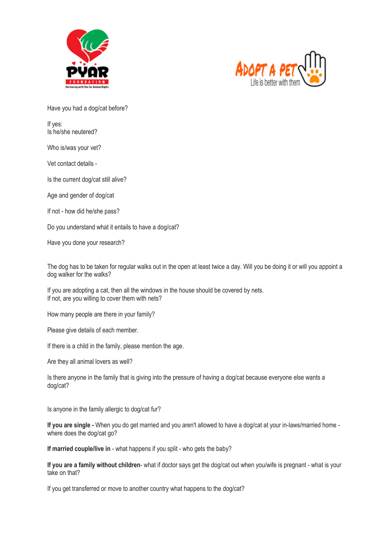



Have you had a dog/cat before?

If yes: Is he/she neutered?

Who is/was your vet?

Vet contact details -

Is the current dog/cat still alive?

Age and gender of dog/cat

If not - how did he/she pass?

Do you understand what it entails to have a dog/cat?

Have you done your research?

The dog has to be taken for regular walks out in the open at least twice a day. Will you be doing it or will you appoint a dog walker for the walks?

If you are adopting a cat, then all the windows in the house should be covered by nets. If not, are you willing to cover them with nets?

How many people are there in your family?

Please give details of each member.

If there is a child in the family, please mention the age.

Are they all animal lovers as well?

Is there anyone in the family that is giving into the pressure of having a dog/cat because everyone else wants a dog/cat?

Is anyone in the family allergic to dog/cat fur?

**If you are single -** When you do get married and you aren't allowed to have a dog/cat at your in-laws/married home where does the dog/cat go?

**If married couple/live in** - what happens if you split - who gets the baby?

**If you are a family without children**- what if doctor says get the dog/cat out when you/wife is pregnant - what is your take on that?

If you get transferred or move to another country what happens to the dog/cat?